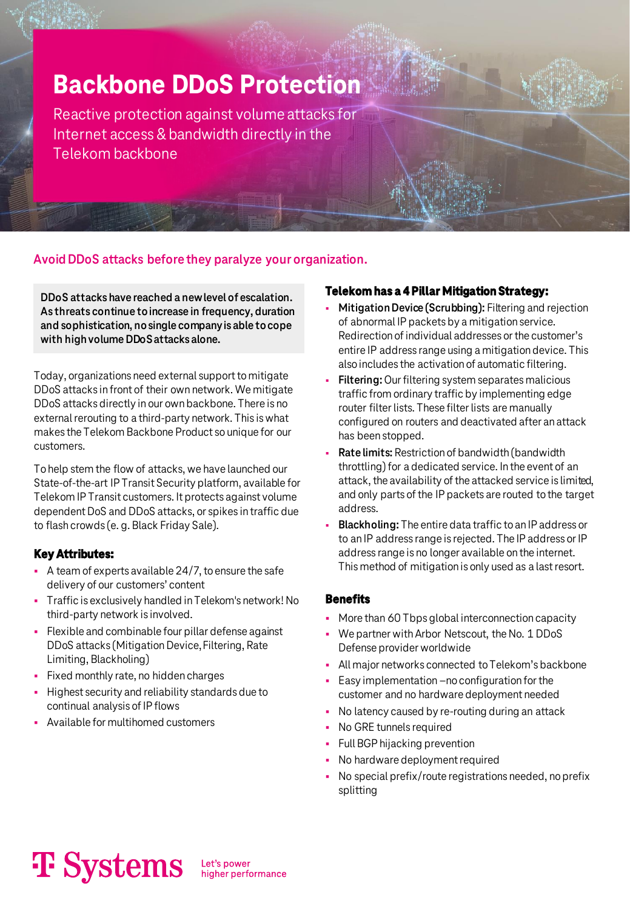### **Backbone DDoS Protection**

Reactive protection against volume attacks for Internet access & bandwidth directly in the Telekom backbone

### **Avoid DDoS attacks before they paralyze your organization.**

**DDoS attacks have reached a new level of escalation. As threats continue to increase in frequency, duration and sophistication, no single company is able tocope with high volume DDoS attacks alone.**

Today, organizations need external support to mitigate DDoS attacks in front of their own network. We mitigate DDoS attacks directly in our own backbone. There is no external rerouting to a third-party network. This is what makes the Telekom Backbone Product so unique for our customers.

To help stem the flow of attacks, we have launched our State-of-the-art IP Transit Security platform, available for Telekom IP Transit customers. It protects against volume dependent DoS and DDoS attacks, or spikes in traffic due to flash crowds (e. g. Black Friday Sale).

#### **Key Attributes:**

- A team of experts available 24/7, to ensure the safe delivery of our customers' content
- Traffic is exclusively handled in Telekom's network! No third-party network is involved.
- Flexible and combinable four pillar defense against DDoS attacks (Mitigation Device, Filtering, Rate Limiting, Blackholing)
- Fixed monthly rate, no hidden charges
- Highest security and reliability standards due to continual analysis of IP flows
- Available for multihomed customers

#### **Telekom has a 4 Pillar Mitigation Strategy:**

- **Mitigation Device (Scrubbing):** Filtering and rejection of abnormal IP packets by a mitigation service. Redirection of individual addresses or the customer's entire IP address range using a mitigation device. This also includes the activation of automatic filtering.
- **Filtering:** Our filtering system separates malicious traffic from ordinary traffic by implementing edge router filter lists. These filter lists are manually configured on routers and deactivated after an attack has been stopped.
- **Rate limits: Restriction of bandwidth (bandwidth)** throttling) for a dedicated service. In the event of an attack, the availability of the attacked service is limited, and only parts of the IP packets are routed to the target address.
- **Blackholing:** The entire data traffic to an IP address or to an IP address range is rejected. The IP address or IP address range is no longer available on the internet. This method of mitigation is only used as a last resort.

#### **Benefits**

- More than 60 Tbps global interconnection capacity
- We partner with Arbor Netscout, the No. 1 DDoS Defense provider worldwide
- **EXEL Major networks connected to Telekom's backbone**
- Easy implementation –no configuration for the customer and no hardware deployment needed
- No latency caused by re-routing during an attack
- No GRE tunnels required
- Full BGP hijacking prevention
- No hardware deployment required
- No special prefix/route registrations needed, no prefix splitting

# **T** Systems

Let's power<br>higher performance